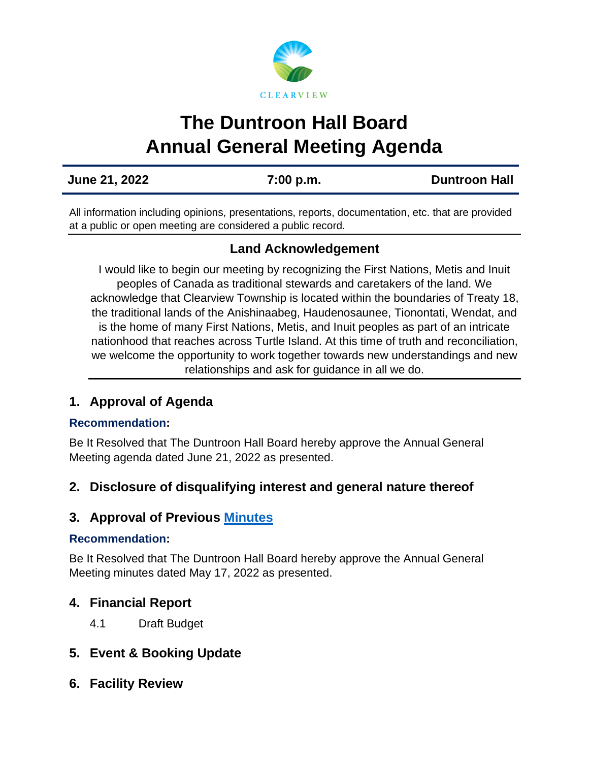

# **The Duntroon Hall Board Annual General Meeting Agenda**

**June 21, 2022 7:00 p.m. [Duntroon](https://us02web.zoom.us/j/81571021054) Hall**

All information including opinions, presentations, reports, documentation, etc. that are provided at a public or open meeting are considered a public record.

# **Land Acknowledgement**

I would like to begin our meeting by recognizing the First Nations, Metis and Inuit peoples of Canada as traditional stewards and caretakers of the land. We acknowledge that Clearview Township is located within the boundaries of Treaty 18, the traditional lands of the Anishinaabeg, Haudenosaunee, Tionontati, Wendat, and is the home of many First Nations, Metis, and Inuit peoples as part of an intricate nationhood that reaches across Turtle Island. At this time of truth and reconciliation, we welcome the opportunity to work together towards new understandings and new relationships and ask for guidance in all we do.

## **1. Approval of Agenda**

## **Recommendation:**

Be It Resolved that The Duntroon Hall Board hereby approve the Annual General Meeting agenda dated June 21, 2022 as presented.

## **2. Disclosure of disqualifying interest and general nature thereof**

## **3. Approval of Previous [Minutes](https://www.clearview.ca/sites/default/files/uploads/publications/2022-05-17_duntroon_hall_board_minutes.pdf)**

## **Recommendation:**

Be It Resolved that The Duntroon Hall Board hereby approve the Annual General Meeting minutes dated May 17, 2022 as presented.

## **4. Financial Report**

4.1 Draft Budget

# **5. Event & Booking Update**

**6. Facility Review**